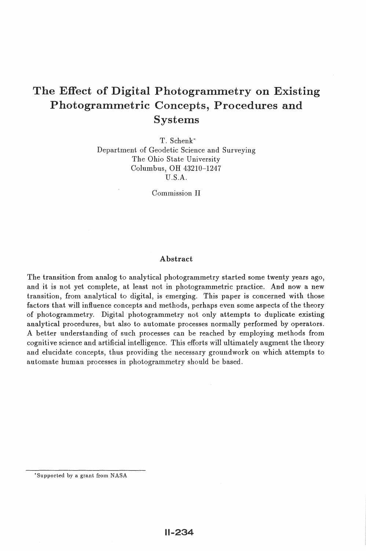# The Effect of Digital Photogrammetry on Existing Photogrammetric Concepts, Procedures and Systems

T. Schenk\* Department of Geodetic Science and Surveying The Ohio State University Columbus, OH 43210-1247 U.S.A.

Commission II

#### Abstract

The transition from analog to analytical photogrammetry started some twenty years ago, and it is not yet complete, at least not in photogrammetric practice. And now a new transition, from analytical to digital, is emerging. This paper is concerned with those factors that will influence concepts and methods, perhaps even some aspects of the theory of photogrammetry. Digital photogrammetry not only attempts to duplicate existing analytical procedures, but also to automate processes normally performed by operators. A better understanding of such processes can be reached by employing methods from cognitive science and artificial intelligence. This efforts will ultimately augment the theory and elucidate concepts, thus providing the necessary groundwork on which attempts to automate human processes in photogrammetry should be based.

<sup>\*</sup>Supported by a grant from NASA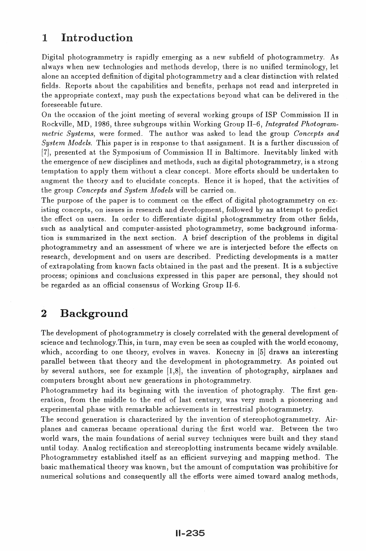## 1 Introduction

Digital photogrammetry is rapidly emerging as a new subfield of photogrammetry. As always when new technologies and methods develop, there is no unified terminology, let alone an accepted definition of digital photogrammetry and a clear distinction with related fields. Reports about the capabilities and benefits, perhaps not read and interpreted in the appropriate context, 1nay push the expectations beyond what can be delivered in the foreseeable future.

On the occasion of the joint meeting of several working groups of ISP Commission II in Rockville, MD, 1986, three subgroups within Working Group II-6, *Integrated Photogrammetric Systems,* were fonned. The author was asked to lead the group *Concepts and System Models.* This paper is in response to that assignment. It is a further discussion of [7], presented at the Symposium of Commission II in Baltimore. Inevitably linked with the emergence of new disciplines and methods, such as digital photogrammetry, is a strong temptation to apply them without a clear concept. More efforts should be undertaken to augment the theory and to elucidate concepts. Hence it is hoped, that the activities of the group *Concepts and System A1odels* will be carried on.

The purpose of the paper is to comment on the effect of digital photogrammetry on existing concepts, on issues in research and development, followed by an attempt to predict the effect on users. In order to differentiate digital photogrammetry from other fields, such as analytical and computer-assisted photogrammetry, some background information is summarized in the next section. A brief description of the problems in digital photogrammetry and an assessment of where we are is interjected before the effects on research, development and on users are described. Predicting developments is a matter of extrapolating from known facts obtained in the past and the present. It is a subjective process; opinions and conclusions expressed in this paper are personal, they should not be regarded as an official consensus of Working Group II-6.

### 2 Background

The development of photogrammetry is closely correlated with the general development of science and technology. This, in turn, may even be seen as coupled with the world economy, which, according to one theory, evolves in waves. Konecny in [5] draws an interesting parallel between that theory and the development in photogrammetry. As pointed out by several authors, see for example (1,8), the invention of photography, airplanes and computers brought about new generations in photogrammetry.

Photogrammetry had its beginning with the invention of photography. The first generation, from the middle to the end of last century, was very much a pioneering and experimental phase with remarkable achievements in terrestrial photogrammetry.

The second generation is characterized by the invention of stereophotogrammetry. Airplanes and cameras became operational during the first world war. Between the two world wars, the main foundations of aerial survey techniques were built and they stand until today. Analog rectification and stereoplotting instruments became widely available. Photogrammetry established itself as an efficient surveying and mapping method. The basic Inathematical theory was known, but the amount of computation was prohibitive for numerical solutions and consequently all the efforts were aimed toward analog methods,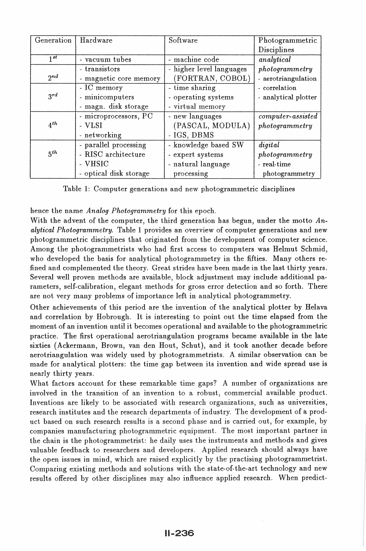| Generation          | Hardware               | Software                 | Photogrammetric      |
|---------------------|------------------------|--------------------------|----------------------|
|                     |                        |                          | Disciplines          |
| $\overline{1^{st}}$ | - vacuum tubes         | - machine code           | analytical           |
|                     | - transistors          | - higher level languages | photogrammetry       |
| $2^{nd}$            | - magnetic core memory | (FORTRAN, COBOL)         | - aerotriangulation  |
|                     | - IC memory            | - time sharing           | - correlation        |
| $3^{rd}$            | - minicomputers        | - operating systems      | - analytical plotter |
|                     | - magn. disk storage   | - virtual memory         |                      |
|                     | - microprocessors, PC  | - new languages          | $computer-assisted$  |
| $4^{th}$            | - VLSI                 | (PASCAL, MODULA)         | photogrammetry       |
|                     | - networking           | - IGS, DBMS              |                      |
|                     | - parallel processing  | - knowledge based SW     | diqital              |
| 5 <sup>th</sup>     | - RISC architecture    | - expert systems         | photogrammetry       |
|                     | - VHSIC                | - natural language       | - real-time          |
|                     | - optical disk storage | processing               | photogrammetry       |

Table 1: Computer generations and new photogrammetric disciplines

hence the name *Analog Photogrammetry* for this epoch.

With the advent of the computer, the third generation has begun, under the motto  $An$ *alytical Photogrammetry.* Table 1 provides an overview of computer generations and new photogrammetric disciplines that originated from the development of computer science. Among the photogrammetrists who had first access to computers was Helmut Schmid, who developed the basis for analytical photogrammetry in the fifties. Many others refined and complemented the theory. Great strides have been made in the last thirty years. Several well proven methods are available, block adjustment may include additional parameters, self-calibration, elegant methods for gross error detection and so forth. There are not very many problems of importance left in analytical photogrammetry.

Other achievements of this period are the invention of the analytical plotter by Helava and correlation by Hobrough. It is interesting to point out the time elapsed from the moment of an invention until it becomes operational and available to the photogrammetric practice. The first operational aerotriangulation programs became available in the late sixties (Ackermann, Brown, van den Hout, Schut), and it took another decade before aerotriangulation was widely used by photogrammetrists. A similar observation can be made for analytical plotters: the time gap between its invention and wide spread use is nearly thirty years.

What factors account for these remarkable time gaps? A number of organizations are involved in the transition of an invention to a robust, commercial available product. Inventions are likely to be associated with research organizations, such as universities, research institutes and the research departments of industry. The development of a product based on such research results is a second phase and is carried out, for example, by companies manufacturing photogrammetric equipment. The most important partner in the chain is the photogrammetrist: he daily uses the instruments and methods and gives valuable feedback to researchers and developers. Applied research should always have the open issues in mind, which are raised explicitly by the practising photogrammetrist. Comparing existing methods and solutions with the state-of-the-art technology and new results offered by other disciplines may also influence applied research. When predict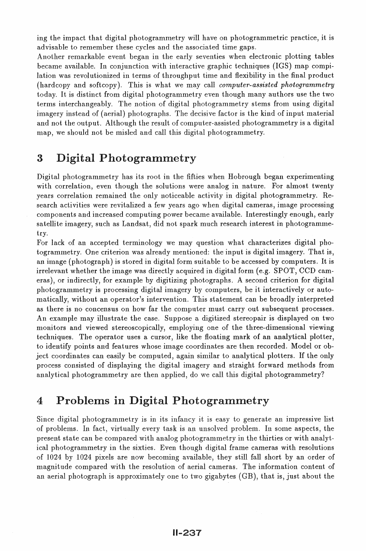ing the impact that digital photogrammetry will have on photogrammetric practice, it is advisable to remember these cycles and the associated time gaps.

Another remarkable event began in the early seventies when electronic plotting tables became available. In conjunction with interactive graphic techniques (IGS) map compilation was revolutionized in terms of throughput time and flexibility in the final product (hardcopy and soft copy). This is what we may call *computer-assisted photogrammetry*  today. It is distinct from digital photogrammetry even though many authors use the two terms interchangeably. The notion of digital photogrammetry stems from using digital imagery instead of (aerial) photographs. The decisive factor is the kind of input material and not the output. Although the result of computer-assisted photogrammetry is a digital map, we should not be misled and call this digital photogrammetry.

### 3 Digital Photogrammetry

Digital photogrammetry has its root in the fifties when Hobrough began experimenting with correlation, even though the solutions were analog in nature. For almost twenty years correlation remained the only noticeable activity in digital photogrammetry. Research activities were revitalized a few years ago when digital cameras, image processing components and increased computing power became available. Interestingly enough, early satellite imagery, such as Landsat, did not spark much research interest in photogrammetry.

For lack of an accepted terminology we may question what characterizes digital photogrammetry. One criterion was already mentioned: the input is digital imagery. That is, an image (photograph) is stored in digital form suitable to be accessed by computers. It is irrelevant whether the image was directly acquired in digital form (e.g. SPOT, CCD cameras), or indirectly, for example by digitizing photographs. A second criterion for digital photogrammetry is processing digital imagery by computers, be it interactively or automatically, without an operator's intervention. This statement can be broadly interpreted as there is no concensus on how far the computer must carry out subsequent processes. An example may illustrate the case. Suppose a digitized stereopair is displayed on two monitors and viewed stereoscopically, employing one of the three-dimensional viewing techniques. The operator uses a cursor, like the floating mark of an analytical plotter, to identify points and features whose image coordinates are then recorded. Model or object coordinates can easily be computed, again similar to analytical plotters. If the only process consisted of displaying the digital imagery and straight forward methods from analytical photogrammetry are then applied, do we call this digital photogrammetry?

### 4 Problems in Digital Photogrammetry

Since digital photogrammetry is in its infancy it is easy to generate an impressive list of problems. In fact, virtually every task is an unsolved problem. In some aspects, the present state can be compared with analog photogrammetry in the thirties or with analytical photogrammetry in the sixties. Even though digital frame cameras with resolutions of  $1024$  by  $1024$  pixels are now becoming available, they still fall short by an order of magnitude compared with the resolution of aerial cameras. The information content of an aerial photograph is approximately one to two gigabytes  $(GB)$ , that is, just about the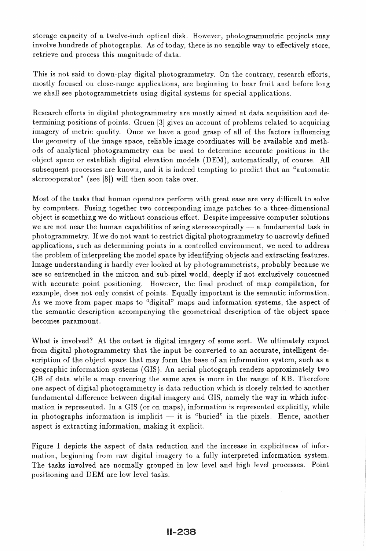storage capacity of a twelve-inch optical disk. However, photogrammetric projects may involve hundreds of photographs. As of today, there is no sensible way to effectively store, retrieve and process this magnitude of data.

This is not said to down-play digital photogrammetry. On the contrary, research efforts, mostly focused on close-range applications, are beginning to bear fruit and before long we shall see photogrammetrists using digital systems for special applications.

Research efforts in digital photogrammetry are mostly aimed at data acquisition and detennining positions of points. Gruen [3] gives an account of problems related to acquiring imagery of metric quality. Once we have a good grasp of all of the factors influencing the geometry of the image space, reliable image coordinates will be available and methods of analytical photogranunetry can be used to detennine accurate positions in the object space or establish digital elevation models (DEM), automatically, of course. All subsequent processes are known, and it is indeed tempting to predict that an "automatic stereooperator" (see [8]) will then soon take over.

Most of the tasks that human operators perform with great ease are very difficult to solve by computers. Fusing together two corresponding image patches to a three-dimensional object is something we do without conscious effort. Despite impressive computer solutions we are not near the human capabilities of seing stereoscopically  $-$  a fundamental task in photogrammetry. If we do not want to restrict digital photogrammetry to narrowly defined applications, such as determining points in a controlled environment, we need to address the problem of interpreting the model space by identifying objects and extracting features. Image understanding is hardly ever looked at by photogrammetrists, probably because we are so entrenched in the micron and sub-pixel world, deeply if not exclusively concerned with accurate point positioning. However, the final product of map compilation, for example, does not only consist of points. Equally important is the semantic information. As we move from paper maps to "digital" maps and information systems, the aspect of the semantic description accompanying the geometrical description of the object space becomes paramount.

What is involved? At the outset is digital imagery of some sort. We ultimately expect from digital photogrammetry that the input be converted to an accurate, intelligent description of the object space that may form the base of an information system, such as a geographic information systems (GIS). An aerial photograph renders approximately two GB of data while a map covering the same area is more in the range of KB. Therefore one aspect of digital photogranunetry is data reduction which is closely related to another fundamental difference between digital imagery and GIS, namely the way in which information is represented. In a GIS (or on maps), information is represented explicitly, while in photographs information is implicit  $-$  it is "buried" in the pixels. Hence, another aspect is extracting information, making it explicit.

Figure 1 depicts the aspect of data reduction and the increase in explicitness of information, beginning from raw digital imagery to a fully interpreted information system. The tasks involved are normally grouped in low level and high level processes. Point positioning and DEM are low level tasks.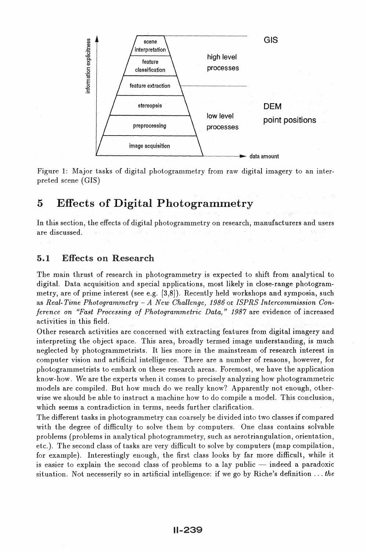

Figure 1: Major tasks of digital photogrammetry from raw digital imagery to an interpreted scene (GIS)

### 5 Effects of Digital Photogrammetry

In this section, the effects of digital photogrammetry on research, manufacturers and users are discussed.

#### 5.1 Effects on Research

The main thrust of research in photogrammetry is expected to shift from analytical to digital. Data acquisition and special applications, most likely in close-range photogrammetry, are of prime interest (see e.g. [3,8]). Recently held workshops and symposia, such as *Real-Time Photogrammetry - A New Challenge, 1986* or *ISPRS Intercommission Conference on "Fast Processing of Photogrammetric Data," 1987* are evidence of increased activities in this field.

Other research activities are concerned with extracting features from digital imagery and interpreting the object space. This area, broadly termed image understanding, is much neglected by photogrammetrists. It lies more in the mainstream of research interest in computer vision and artificial intelligence. There are a number of reasons, however, for photogrammetrists to embark on these research areas. Foremost, we have the application know-how. We are the experts when it comes to precisely analyzing how photogrammetric models are compiled. But how much do we really know? Apparently not enough, otherwise we should be able to instruct a machine how to do compile a model. This conclusion, which seems a contradiction in terms, needs further clarification.

The different tasks in photogrammetry can coarsely be divided into two classes if compared with the degree of difficulty to solve them by computers. One class contains solvable problems (problems in analytical photogrammetry, such as aerotriangulation, orientation, etc.). The second class of tasks are very difficult to solve by computers (map compilation, for example). Interestingly enough, the first class looks by far more difficult, while it is easier to explain the second class of problems to a lay public  $-$  indeed a paradoxic situation. Not necesserily so in artificial intelligence: if we go by Riche's definition ... *the*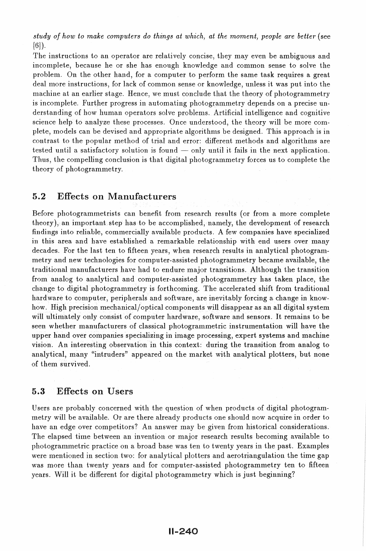*study of how to make computers do things at which, at the moment, people are better (see* [6]).

The instructions to an operator are relatively concise, they may even be ambiguous and incomplete, because he or she has enough knowledge and common sense to solve the problem. On the other hand, for a computer to perform the same task requires a great deal more instructions, for lack of common sense or knowledge, unless it was put into the machine at an earlier stage. Hence, we must conclude that the theory of photogrammetry is incomplete. Further progress in automating photogrammetry depends on a precise understanding of how human operators solve problems. Artificial intelligence and cognitive science help to analyze these processes. Once understood, the theory will be more complete, models can be devised and appropriate algorithms be designed. This approach is in contrast to the popular method of trial and error: different methods and algorithms are tested until a satisfactory solution is found  $-$  only until it fails in the next application. Thus, the compelling conclusion is that digital photogrammetry forces us to complete the theory of photogranunetry.

#### 5.2 Effects on Manufacturers

Before photogrammetrists can benefit from research results (or from a more complete theory), an important step has to be accomplished, namely, the development of research findings into reliable, commercially available products. A few companies have specialized in this area and have established a remarkable relationship with end users over many decades. For the last ten to fifteen years, when research results in analytical photogrammetry and new technologies for computer-assisted photogrammetry became available, the traditional manufacturers have had to endure major transitions. Although the transition from analog to analytical and computer-assisted photogrammetry has taken place, the change to digital photogrammetry is forthcoming. The accelerated shift from traditional hard ware to computer, peripherals and software, are inevitably forcing a change in knowhow. High precision mechanical/optical components will disappear as an all digital system will ultimately only consist of computer hardware, software and sensors. It remains to be seen whether manufacturers of classical photogrammetric instrumentation will have the upper hand over companies specializing in image processing, expert systems and machine vision. An interesting observation in this context: during the transition from analog to analytical, many "intruders" appeared on the market with analytical plotters, but none of them survived.

#### 5.3 Effects on Users

Users are probably concerned with the question of when products of digital photogrammetry will be available. Or are there already products one should now acquire in order to have an edge over competitors? An answer may be given from historical considerations. The elapsed time between an invention or major research results becoming available to photogrammetric practice on a broad base was ten to twenty years in the past. Examples were mentioned in section two: for analytical plotters and aerotriangulation the time gap was more than twenty years and for computer-assisted photogrammetry ten to fifteen years. Will it be different for digital photogranunetry which is just beginning?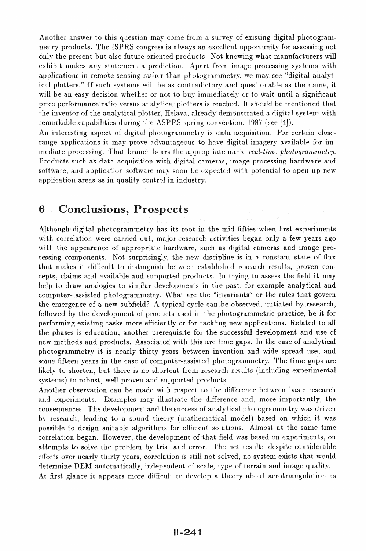Another answer to this question may come from a survey of existing digital photogrammetry products. The ISPRS congress is always an excellent opportunity for assessing not only the present but also future oriented products. Not knowing what manufacturers will exhibit makes any statement a prediction. Apart from image processing systems with applications in remote sensing rather than photogrammetry, we may see "digital analytical plotters." If such systems will be as contradictory and questionable as the name, it will be an easy decision whether or not to buy immediately or to wait until a significant price perfonnance ratio versus analytical plotters is reached. It should be mentioned that the inventor of the analytical plotter, Helava, already demonstrated a digital system with remarkable capabilities during the ASPRS spring convention, 1987 (see [4]).

An interesting aspect of digital photogrammetry is data acquisition. For certain closerange applications it may prove advantageous to have digital imagery available for im-Inediate processing. That branch bears the appropriate name *real-time photogrammetry.*  Products such as data acquisition with digital cameras, image processing hardware and software, and application software may soon be expected with potential to open up new application areas as in quality control in industry.

#### 6 Conclusions, Prospects

Although digital photogrammetry has its root in the mid fifties when first experiments with correlation were carried out, major research activities began only a few years ago with the appearance of appropriate hardware, such as digital cameras and image processing cornponents. Not surprisingly, the new discipline is in a constant state of flux that makes it difficult to distinguish between established research results, proven concepts, claims and available and supported products. In trying to assess the field it may help to draw analogies to similar developments in the past, for example analytical and computer- assisted photogrammetry. What are the "invariants" or the rules that govern the emergence of a new subfield? A typical cycle can be observed, initiated by research, followed by the development of products used in the photogrammetric practice, be it for performing existing tasks more efficiently or for tackling new applications. Related to all the phases is education, another prerequisite for the successful development and use of new methods and products. Associated with this are time gaps. In the case of analytical photogrammetry it is nearly thirty years between invention and wide spread use, and some fifteen years in the case of computer-assisted photogrammetry. The time gaps are likely to shorten, but there is no shortcut from research results (including experimental systems) to robust, well-proven and supported products.

Another observation can be made with respect to the difference between basic research and experiments. Examples may illustrate the difference and, more importantly, the consequences. The development and the success of analytical photogrammetry was driven by research, leading to a sound theory (mathematical model) based on which it was possible to design suitable algorithms for efficient solutions. Almost at the same time correlation began. However, the development of that field was based on experiments, on attempts to solve the problem by trial and error. The net result: despite considerable efforts over nearly thirty years, correlation is still not solved, no system exists that would determine DEM automatically, independent of scale, type of terrain and image quality. At first glance it appears more difficult to develop a theory about aerotriangulation as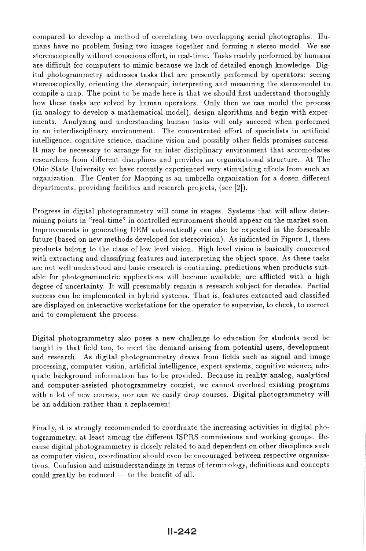compared to develop a method of correlating two overlapping aerial photographs. Humans have no problem fusing two images together and forming a stereo model. We see stereoscopically without conscious effort, in real-time. Tasks readily performed by humans are difficult for computers to mimic because we lack of detailed enough knowledge. Digital photogrammetry addresses tasks that are presently performed by operators: seeing stereoscopically, orienting the stereopair, interpreting and measuring the stereomodel to compile a map. The point to be made here is that we should first understand thoroughly how these tasks are solved by human operators. Only then we can model the process (in analogy to develop a mathematical model), design algorithms and begin with experiments. Analyzing and understanding human tasks will only succeed when performed in an interdisciplinary environment. The concentrated effort of specialists in artificial intelligence, cognitive science, machine vision and possibly other fields promises success. It may be necessary to arrange for an inter disciplinary environment that accomodates researchers from different disciplines and provides an organizational structure. At The Ohio State University we have recently experienced very stimulating effects from such an organization. The Center for Mapping is an utnbrella organization for a dozen different departments, providing facilities and research projects, (see [2]).

Progress in digital photogrammetry will come in stages. Systems that will allow determining points in "real-time" in controlled environment should appear on the market soon. Improvements in generating DEM automatically can also be expected in the forseeable future (based on new methods developed for stereovision). As indicated in Figure 1, these products belong to the class of low level vision. High level vision is basically concerned with extracting and classifying features and interpreting the object space. As these tasks are not well understood and basic research is continuing, predictions when products suitable for photogrammetric applications will become available, are afflicted with a high degree of uncertainty. It will presumably remain a research subject for decades. Partial success can be implemented in hybrid systems. That is, features extracted and classified are displayed on interactive workstations for the operator to supervise, to check, to correct and to complement the process.

Digital photogrammetry also poses a new challenge to education for students need be taught in that field too, to meet the demand arising from potential users, development and research. As digital photogrammetry draws from fields such as signal and image processing, computer vision, artificial intelligence, expert systems, cognitive science, adequate background information has to be provided. Because in reality analog, analytical and computer-assisted photogrammetry coexist, we cannot overload existing programs with a lot of new courses, nor can we easily drop courses. Digital photogrammetry will be an addition rather than a replacement.

Finally, it is strongly recommended to coordinate the increasing activities in digital photogrammetry, at least among the different ISPRS commissions and working groups. Because digital photogranunetry is closely related to and dependent on other disciplines such as computer vision, coordination should even be encouraged between respective organizations. Confusion and misunderstandings in terms of terminology, definitions and concepts could greatly be reduced  $-$  to the benefit of all.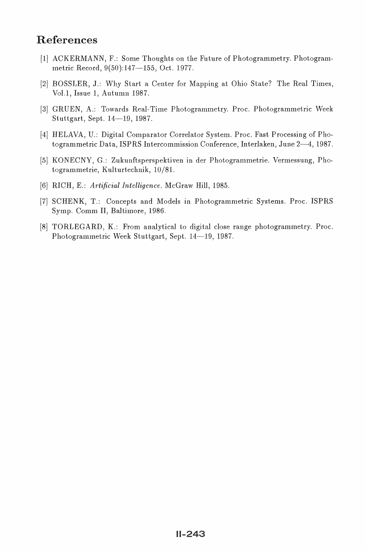### References

- [1] ACKERMANN, F.: Some Thoughts on the Future of Photogrammetry. Photogrammetric Record, 9(50):147-155, Oct. 1977.
- [2] BOSSLER, J.: Why Start a Center for Mapping at Ohio State? The Real Times, Vol.1, Issue 1, Autunu1 1987.
- [3] GRUEN, A.: Towards Real-Time Photogrammetry. Proc. Photogrammetric Week Stuttgart, Sept. 14-19, 1987.
- [4] HELAVA, U.: Digital Comparator Correlator System. Proc. Fast Processing of Photogrammetric Data, ISPRS Intercommission Conference, Interlaken, June 2-4, 1987.
- [5] KONECNY, G.: Zukunftsperspektiven in der Photogrammetrie. Vermessung, Photogrammetrie, Kulturtechnik, 10/81.
- (6) RICH, E.: *Artificial Intelligence.* McGraw Hill, 1985.
- [7] SCHENK, T.: Concepts and Models in Photogrammetric Systems. Proc. ISPRS Symp. Comm II, Baltimore, 1986.
- [8] TORLEGARD, K.: From analytical to digital close range photogrammetry. Proc. Photogrammetric Week Stuttgart, Sept. 14-19, 1987.